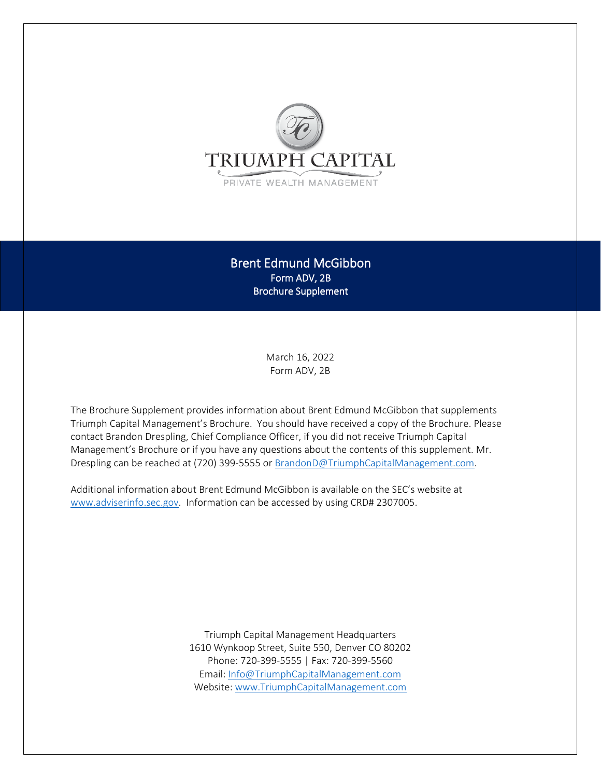

Brent Edmund McGibbon Form ADV, 2B Brochure Supplement

> March 16, 2022 Form ADV, 2B

The Brochure Supplement provides information about Brent Edmund McGibbon that supplements Triumph Capital Management's Brochure. You should have received a copy of the Brochure. Please contact Brandon Drespling, Chief Compliance Officer, if you did not receive Triumph Capital Management's Brochure or if you have any questions about the contents of this supplement. Mr. Drespling can be reached at (720) 399-5555 or [BrandonD@TriumphCapitalManagement.com.](mailto:BrandonD@TriumphCapitalManagement.com)

Additional information about Brent Edmund McGibbon is available on the SEC's website at [www.adviserinfo.sec.gov.](http://www.adviserinfo.sec.gov/) Information can be accessed by using CRD# 2307005.

> Triumph Capital Management Headquarters 1610 Wynkoop Street, Suite 550, Denver CO 80202 Phone: 720-399-5555 | Fax: 720-399-5560 Email[: Info@TriumphCapitalManagement.com](mailto:Info@TriumphCapitalManagement.com) Website[: www.TriumphCapitalManagement.com](http://www.triumphcapitalmanagement.com/)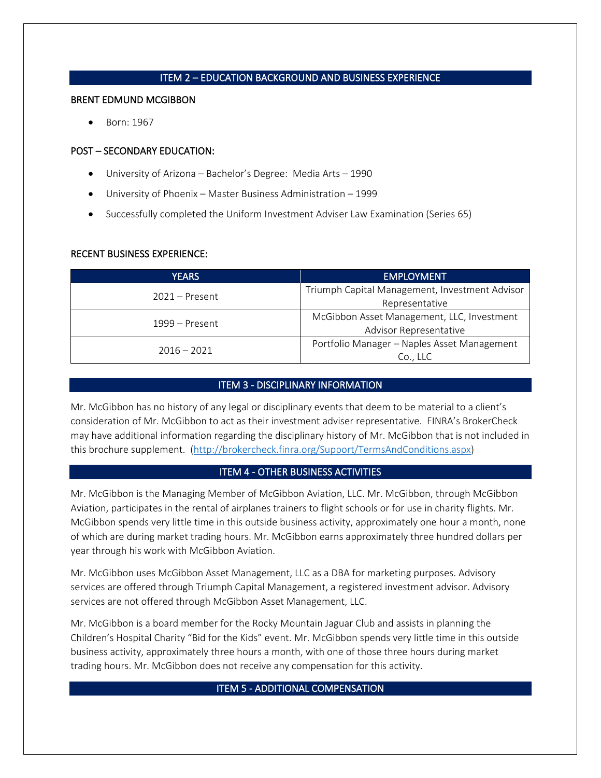## ITEM 2 – EDUCATION BACKGROUND AND BUSINESS EXPERIENCE

#### BRENT EDMUND MCGIBBON

• Born: 1967

### POST – SECONDARY EDUCATION:

- University of Arizona Bachelor's Degree: Media Arts 1990
- University of Phoenix Master Business Administration 1999
- Successfully completed the Uniform Investment Adviser Law Examination (Series 65)

### RECENT BUSINESS EXPERIENCE:

| YEARS            | <b>EMPLOYMENT</b>                                                    |
|------------------|----------------------------------------------------------------------|
| $2021 -$ Present | Triumph Capital Management, Investment Advisor<br>Representative     |
| $1999 -$ Present | McGibbon Asset Management, LLC, Investment<br>Advisor Representative |
| $2016 - 2021$    | Portfolio Manager - Naples Asset Management<br>Co., LLC              |

# ITEM 3 - DISCIPLINARY INFORMATION

Mr. McGibbon has no history of any legal or disciplinary events that deem to be material to a client's consideration of Mr. McGibbon to act as their investment adviser representative. FINRA's BrokerCheck may have additional information regarding the disciplinary history of Mr. McGibbon that is not included in this brochure supplement. [\(http://brokercheck.finra.org/Support/TermsAndConditions.aspx\)](http://brokercheck.finra.org/Support/TermsAndConditions.aspx)

# ITEM 4 - OTHER BUSINESS ACTIVITIES

Mr. McGibbon is the Managing Member of McGibbon Aviation, LLC. Mr. McGibbon, through McGibbon Aviation, participates in the rental of airplanes trainers to flight schools or for use in charity flights. Mr. McGibbon spends very little time in this outside business activity, approximately one hour a month, none of which are during market trading hours. Mr. McGibbon earns approximately three hundred dollars per year through his work with McGibbon Aviation.

Mr. McGibbon uses McGibbon Asset Management, LLC as a DBA for marketing purposes. Advisory services are offered through Triumph Capital Management, a registered investment advisor. Advisory services are not offered through McGibbon Asset Management, LLC.

Mr. McGibbon is a board member for the Rocky Mountain Jaguar Club and assists in planning the Children's Hospital Charity "Bid for the Kids" event. Mr. McGibbon spends very little time in this outside business activity, approximately three hours a month, with one of those three hours during market trading hours. Mr. McGibbon does not receive any compensation for this activity.

### ITEM 5 - ADDITIONAL COMPENSATION